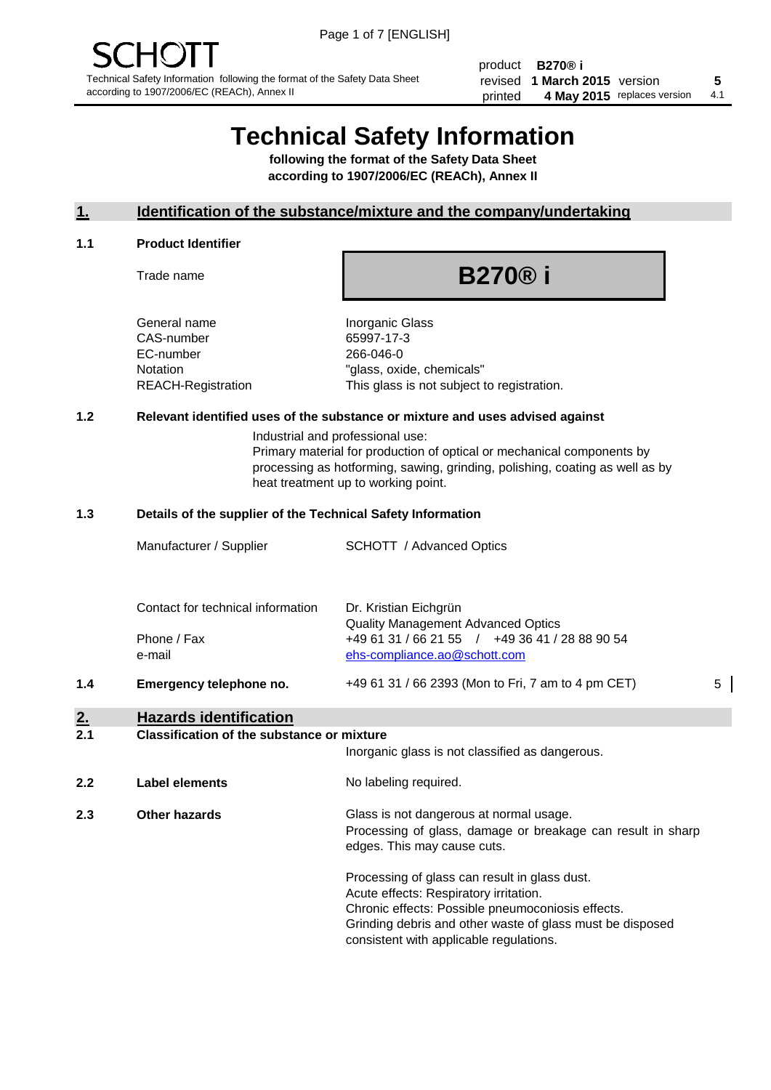product **B270® i** revised **5 1 March 2015** version printed 4 May 2015 replaces version 4.1

# **Technical Safety Information**

**following the format of the Safety Data Sheet according to 1907/2006/EC (REACh), Annex II**

#### **1. Identification of the substance/mixture and the company/undertaking**

#### **1.1 Product Identifier**

Trade name

**B270® i**

General name **Inorganic Glass** CAS-number 65997-17-3 EC-number 266-046-0

Notation "glass, oxide, chemicals" REACH-Registration This glass is not subject to registration.

#### **1.2 Relevant identified uses of the substance or mixture and uses advised against**

Industrial and professional use: Primary material for production of optical or mechanical components by processing as hotforming, sawing, grinding, polishing, coating as well as by heat treatment up to working point.

#### **1.3 Details of the supplier of the Technical Safety Information**

|     | Manufacturer / Supplier                           | <b>SCHOTT</b> / Advanced Optics                                                |   |
|-----|---------------------------------------------------|--------------------------------------------------------------------------------|---|
|     | Contact for technical information                 | Dr. Kristian Eichgrün<br><b>Quality Management Advanced Optics</b>             |   |
|     | Phone / Fax<br>e-mail                             | +49 61 31 / 66 21 55 / +49 36 41 / 28 88 90 54<br>ehs-compliance.ao@schott.com |   |
| 1.4 | Emergency telephone no.                           | +49 61 31 / 66 2393 (Mon to Fri, 7 am to 4 pm CET)                             | 5 |
| 2.  | <b>Hazards identification</b>                     |                                                                                |   |
| 2.1 | <b>Classification of the substance or mixture</b> | Inorganic glass is not classified as dangerous.                                |   |

**2.2 Label elements** No labeling required. **2.3 Other hazards Glass is not dangerous at normal usage.** Processing of glass, damage or breakage can result in sharp edges. This may cause cuts.

> Processing of glass can result in glass dust. Acute effects: Respiratory irritation. Chronic effects: Possible pneumoconiosis effects. Grinding debris and other waste of glass must be disposed consistent with applicable regulations.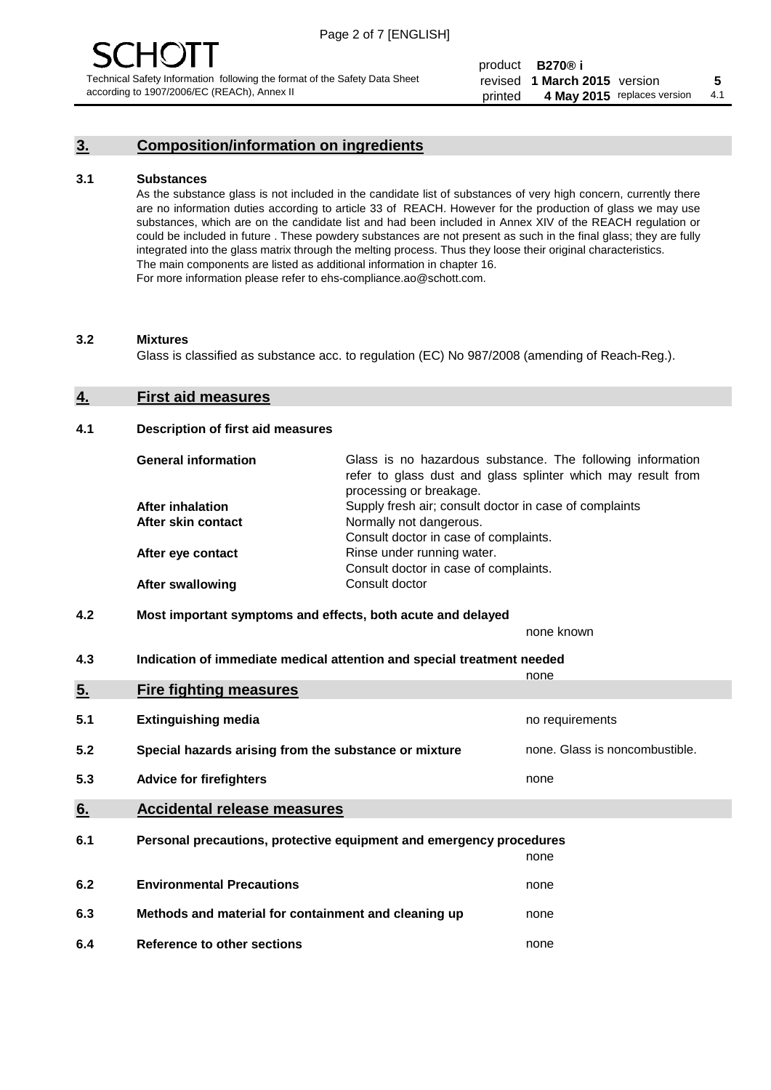### **3. Composition/information on ingredients**

#### **3.1 Substances**

As the substance glass is not included in the candidate list of substances of very high concern, currently there are no information duties according to article 33 of REACH. However for the production of glass we may use substances, which are on the candidate list and had been included in Annex XIV of the REACH regulation or could be included in future . These powdery substances are not present as such in the final glass; they are fully integrated into the glass matrix through the melting process. Thus they loose their original characteristics. The main components are listed as additional information in chapter 16. For more information please refer to ehs-compliance.ao@schott.com.

#### **3.2 Mixtures**

Glass is classified as substance acc. to regulation (EC) No 987/2008 (amending of Reach-Reg.).

#### **4. First aid measures**

#### **4.1 Description of first aid measures**

| <b>General information</b> | Glass is no hazardous substance. The following information<br>refer to glass dust and glass splinter which may result from<br>processing or breakage. |
|----------------------------|-------------------------------------------------------------------------------------------------------------------------------------------------------|
| <b>After inhalation</b>    | Supply fresh air; consult doctor in case of complaints                                                                                                |
| After skin contact         | Normally not dangerous.                                                                                                                               |
|                            | Consult doctor in case of complaints.                                                                                                                 |
| After eye contact          | Rinse under running water.                                                                                                                            |
|                            | Consult doctor in case of complaints.                                                                                                                 |
| <b>After swallowing</b>    | Consult doctor                                                                                                                                        |

#### **4.2 Most important symptoms and effects, both acute and delayed**

none known

**4.3 Indication of immediate medical attention and special treatment needed** 

|     |                                                                     | none                           |
|-----|---------------------------------------------------------------------|--------------------------------|
| 5.  | <b>Fire fighting measures</b>                                       |                                |
| 5.1 | <b>Extinguishing media</b>                                          | no requirements                |
| 5.2 | Special hazards arising from the substance or mixture               | none. Glass is noncombustible. |
| 5.3 | <b>Advice for firefighters</b>                                      | none                           |
| 6.  | <b>Accidental release measures</b>                                  |                                |
| 6.1 | Personal precautions, protective equipment and emergency procedures |                                |
|     |                                                                     | none                           |
| 6.2 | <b>Environmental Precautions</b>                                    | none                           |
| 6.3 | Methods and material for containment and cleaning up                | none                           |
| 6.4 | Reference to other sections                                         | none                           |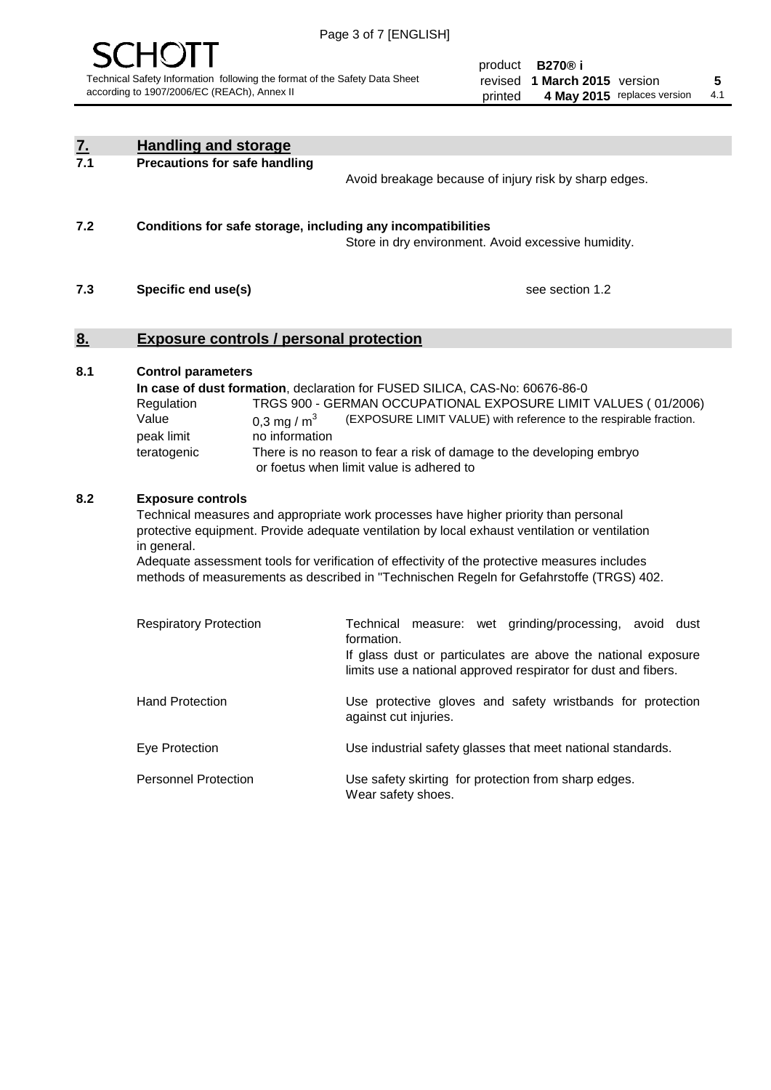

product **B270® i** revised **5 1 March 2015** version printed 4 May 2015 replaces version 4.1

| <u>Z.</u> | <b>Handling and storage</b>                                                                                                                                                                                                                                                                                                                                                                                                    |                                                                                                                                                                                                                                                                                                                                        |
|-----------|--------------------------------------------------------------------------------------------------------------------------------------------------------------------------------------------------------------------------------------------------------------------------------------------------------------------------------------------------------------------------------------------------------------------------------|----------------------------------------------------------------------------------------------------------------------------------------------------------------------------------------------------------------------------------------------------------------------------------------------------------------------------------------|
| 7.1       | <b>Precautions for safe handling</b>                                                                                                                                                                                                                                                                                                                                                                                           | Avoid breakage because of injury risk by sharp edges.                                                                                                                                                                                                                                                                                  |
| 7.2       | Conditions for safe storage, including any incompatibilities                                                                                                                                                                                                                                                                                                                                                                   | Store in dry environment. Avoid excessive humidity.                                                                                                                                                                                                                                                                                    |
| 7.3       | Specific end use(s)                                                                                                                                                                                                                                                                                                                                                                                                            | see section 1.2                                                                                                                                                                                                                                                                                                                        |
| <u>8.</u> | <b>Exposure controls / personal protection</b>                                                                                                                                                                                                                                                                                                                                                                                 |                                                                                                                                                                                                                                                                                                                                        |
| 8.1       | <b>Control parameters</b><br>Regulation<br>Value<br>0,3 mg / $m3$<br>peak limit<br>no information<br>teratogenic                                                                                                                                                                                                                                                                                                               | In case of dust formation, declaration for FUSED SILICA, CAS-No: 60676-86-0<br>TRGS 900 - GERMAN OCCUPATIONAL EXPOSURE LIMIT VALUES (01/2006)<br>(EXPOSURE LIMIT VALUE) with reference to the respirable fraction.<br>There is no reason to fear a risk of damage to the developing embryo<br>or foetus when limit value is adhered to |
| 8.2       | <b>Exposure controls</b><br>Technical measures and appropriate work processes have higher priority than personal<br>protective equipment. Provide adequate ventilation by local exhaust ventilation or ventilation<br>in general.<br>Adequate assessment tools for verification of effectivity of the protective measures includes<br>methods of measurements as described in "Technischen Regeln for Gefahrstoffe (TRGS) 402. |                                                                                                                                                                                                                                                                                                                                        |
|           | <b>Respiratory Protection</b>                                                                                                                                                                                                                                                                                                                                                                                                  | Technical measure: wet grinding/processing, avoid dust<br>formation.<br>If glass dust or particulates are above the national exposure<br>limits use a national approved respirator for dust and fibers.                                                                                                                                |
|           | <b>Hand Protection</b>                                                                                                                                                                                                                                                                                                                                                                                                         | Use protective gloves and safety wristbands for protection<br>against cut injuries.                                                                                                                                                                                                                                                    |
|           | Eye Protection                                                                                                                                                                                                                                                                                                                                                                                                                 | Use industrial safety glasses that meet national standards.                                                                                                                                                                                                                                                                            |
|           | <b>Personnel Protection</b>                                                                                                                                                                                                                                                                                                                                                                                                    | Use safety skirting for protection from sharp edges.<br>Wear safety shoes.                                                                                                                                                                                                                                                             |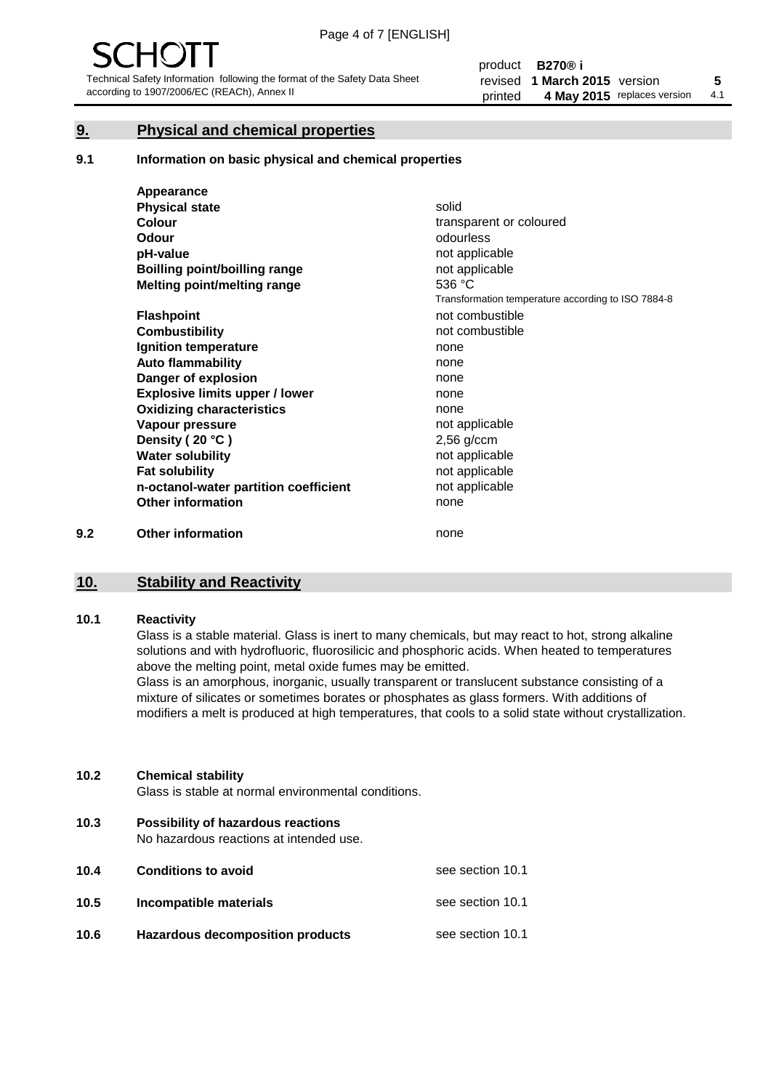### **9. Physical and chemical properties**

#### **9.1 Information on basic physical and chemical properties**

|     | Appearance                            |                                                    |
|-----|---------------------------------------|----------------------------------------------------|
|     | <b>Physical state</b>                 | solid                                              |
|     | <b>Colour</b>                         | transparent or coloured                            |
|     | <b>Odour</b>                          | odourless                                          |
|     | pH-value                              | not applicable                                     |
|     | Boilling point/boilling range         | not applicable                                     |
|     | Melting point/melting range           | 536 °C                                             |
|     |                                       | Transformation temperature according to ISO 7884-8 |
|     | <b>Flashpoint</b>                     | not combustible                                    |
|     | <b>Combustibility</b>                 | not combustible                                    |
|     | Ignition temperature                  | none                                               |
|     | <b>Auto flammability</b>              | none                                               |
|     | Danger of explosion                   | none                                               |
|     | <b>Explosive limits upper / lower</b> | none                                               |
|     | <b>Oxidizing characteristics</b>      | none                                               |
|     | Vapour pressure                       | not applicable                                     |
|     | Density (20 °C)                       | $2,56$ g/ccm                                       |
|     | <b>Water solubility</b>               | not applicable                                     |
|     | <b>Fat solubility</b>                 | not applicable                                     |
|     | n-octanol-water partition coefficient | not applicable                                     |
|     | <b>Other information</b>              | none                                               |
| 9.2 | <b>Other information</b>              | none                                               |

## **10. Stability and Reactivity**

#### **10.1 Reactivity**

Glass is a stable material. Glass is inert to many chemicals, but may react to hot, strong alkaline solutions and with hydrofluoric, fluorosilicic and phosphoric acids. When heated to temperatures above the melting point, metal oxide fumes may be emitted.

Glass is an amorphous, inorganic, usually transparent or translucent substance consisting of a mixture of silicates or sometimes borates or phosphates as glass formers. With additions of modifiers a melt is produced at high temperatures, that cools to a solid state without crystallization.

#### **10.2 Chemical stability**

Glass is stable at normal environmental conditions.

**10.3 Possibility of hazardous reactions** 

No hazardous reactions at intended use.

| 10.4 | <b>Conditions to avoid</b>              | see section 10.1 |
|------|-----------------------------------------|------------------|
| 10.5 | Incompatible materials                  | see section 10.1 |
| 10.6 | <b>Hazardous decomposition products</b> | see section 10.1 |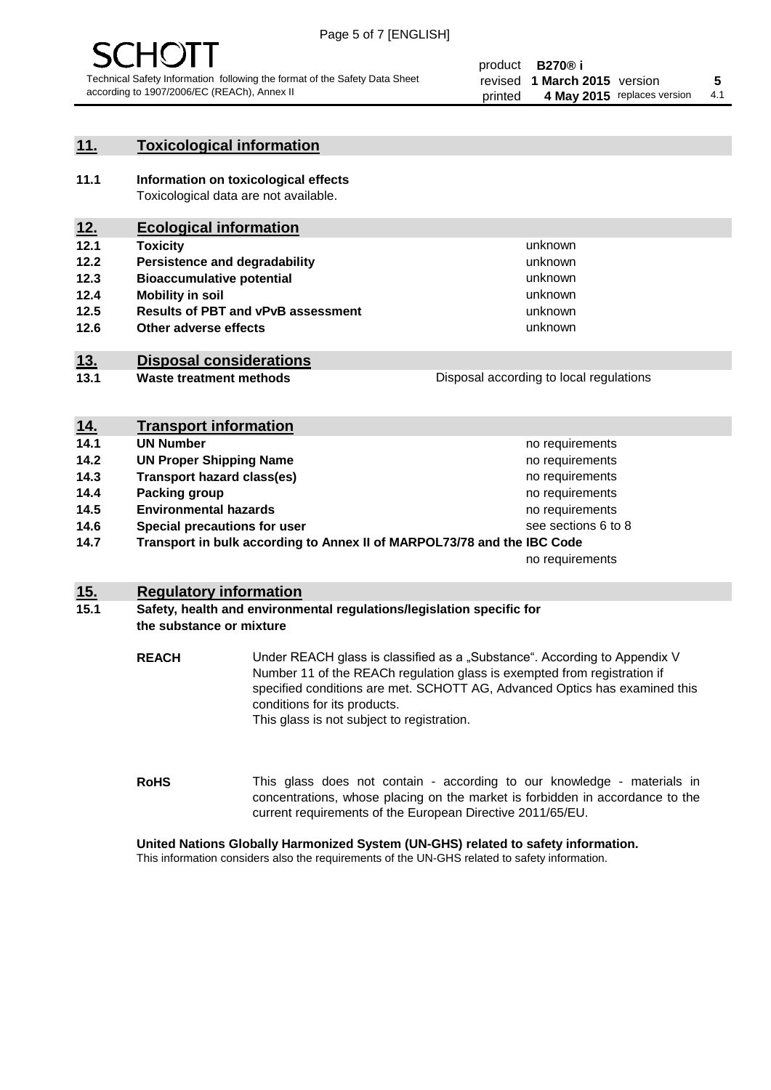

#### **11. Toxicological information**

**11.1 Information on toxicological effects** Toxicological data are not available.

### **12. Ecological information**

- **12.1 Toxicity**
- **12.2 Persistence and degradability**
- **12.3 Bioaccumulative potential**
- **12.4 Mobility in soil**
- **12.5 Results of PBT and vPvB assessment**
- **12.6 Other adverse effects**

#### **13. Disposal considerations**

**13.1 Waste treatment methods**

Disposal according to local regulations

unknown unknown unknown unknown

unknown unknown

| <u>14.</u>                                                                      | <b>Transport information</b>      |                     |
|---------------------------------------------------------------------------------|-----------------------------------|---------------------|
| 14.1                                                                            | <b>UN Number</b>                  | no requirements     |
| 14.2                                                                            | <b>UN Proper Shipping Name</b>    | no requirements     |
| 14.3                                                                            | <b>Transport hazard class(es)</b> | no requirements     |
| 14.4                                                                            | Packing group                     | no requirements     |
| 14.5                                                                            | <b>Environmental hazards</b>      | no requirements     |
| 14.6                                                                            | Special precautions for user      | see sections 6 to 8 |
| 14.7<br>Transport in bulk according to Annex II of MARPOL73/78 and the IBC Code |                                   |                     |
|                                                                                 |                                   | no requirements     |

#### **15. Regulatory information**

#### **15.1 Safety, health and environmental regulations/legislation specific for the substance or mixture**

**REACH** Under REACH glass is classified as a "Substance". According to Appendix V Number 11 of the REACh regulation glass is exempted from registration if specified conditions are met. SCHOTT AG, Advanced Optics has examined this conditions for its products. This glass is not subject to registration.

**RoHS** This glass does not contain - according to our knowledge - materials in concentrations, whose placing on the market is forbidden in accordance to the current requirements of the European Directive 2011/65/EU.

#### **United Nations Globally Harmonized System (UN-GHS) related to safety information.**

This information considers also the requirements of the UN-GHS related to safety information.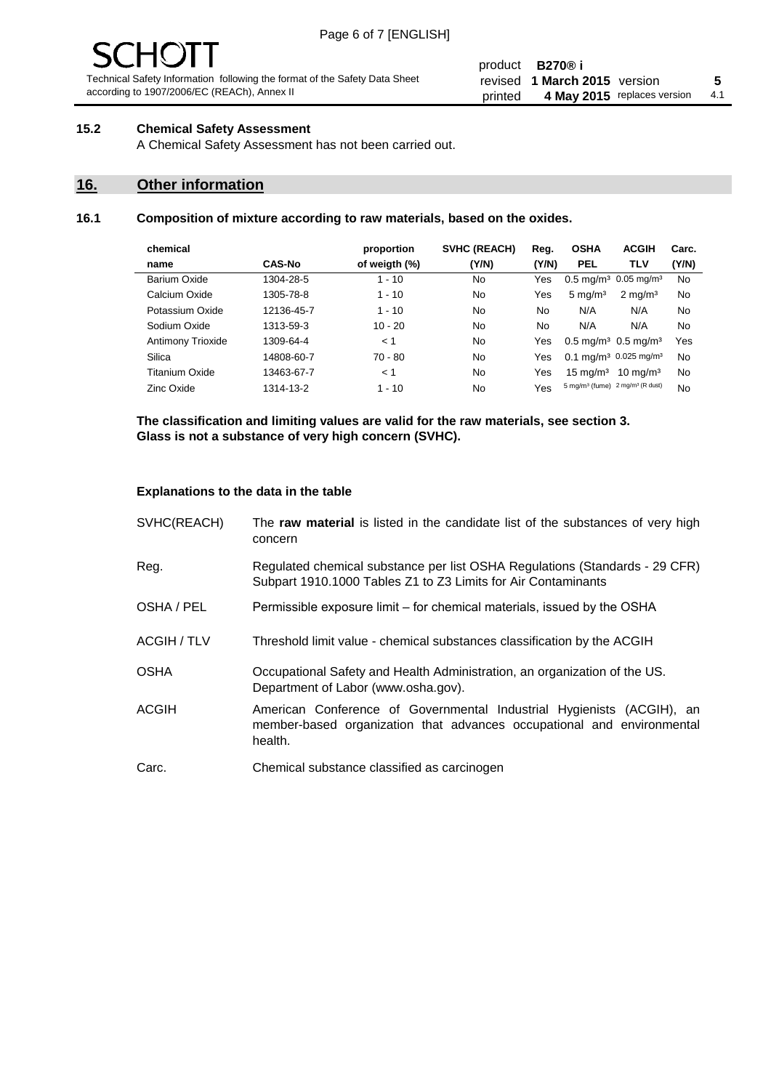#### product **B270® i** revised **5 1 March 2015** version printed 4 May 2015 replaces version 4.1

#### **15.2 Chemical Safety Assessment**

A Chemical Safety Assessment has not been carried out.

### **16. Other information**

#### **16.1 Composition of mixture according to raw materials, based on the oxides.**

| chemical          |               | proportion    | <b>SVHC (REACH)</b> | Reg.  | <b>OSHA</b>                                             | <b>ACGIH</b>        | Carc. |
|-------------------|---------------|---------------|---------------------|-------|---------------------------------------------------------|---------------------|-------|
| name              | <b>CAS-No</b> | of weigth (%) | (Y/N)               | (Y/N) | <b>PEL</b>                                              | TLV                 | (Y/N) |
| Barium Oxide      | 1304-28-5     | $1 - 10$      | No                  | Yes   | $0.5 \text{ mg/m}^3$ 0.05 mg/m <sup>3</sup>             |                     | No    |
| Calcium Oxide     | 1305-78-8     | $1 - 10$      | No                  | Yes   | $5 \text{ mg/m}^3$                                      | $2 \text{ mg/m}^3$  | No    |
| Potassium Oxide   | 12136-45-7    | $1 - 10$      | No                  | No.   | N/A                                                     | N/A                 | No    |
| Sodium Oxide      | 1313-59-3     | $10 - 20$     | No                  | No    | N/A                                                     | N/A                 | No    |
| Antimony Trioxide | 1309-64-4     | < 1           | No                  | Yes   | $0.5 \,\mathrm{mq/m^3}$ 0.5 mg/m <sup>3</sup>           |                     | Yes   |
| Silica            | 14808-60-7    | $70 - 80$     | No                  | Yes   | 0.1 mg/m <sup>3</sup> 0.025 mg/m <sup>3</sup>           |                     | No    |
| Titanium Oxide    | 13463-67-7    | < 1           | No                  | Yes   | $15 \text{ mg/m}^3$                                     | $10 \text{ ma/m}^3$ | No    |
| Zinc Oxide        | 1314-13-2     | $1 - 10$      | No                  | Yes   | 5 mg/m <sup>3</sup> (fume) 2 mg/m <sup>3</sup> (R dust) |                     | No    |
|                   |               |               |                     |       |                                                         |                     |       |

**The classification and limiting values are valid for the raw materials, see section 3. Glass is not a substance of very high concern (SVHC).**

#### **Explanations to the data in the table**

| SVHC(REACH)        | The raw material is listed in the candidate list of the substances of very high<br>concern                                                                 |
|--------------------|------------------------------------------------------------------------------------------------------------------------------------------------------------|
| Reg.               | Regulated chemical substance per list OSHA Regulations (Standards - 29 CFR)<br>Subpart 1910.1000 Tables Z1 to Z3 Limits for Air Contaminants               |
| OSHA / PEL         | Permissible exposure limit – for chemical materials, issued by the OSHA                                                                                    |
| <b>ACGIH / TLV</b> | Threshold limit value - chemical substances classification by the ACGIH                                                                                    |
| <b>OSHA</b>        | Occupational Safety and Health Administration, an organization of the US.<br>Department of Labor (www.osha.gov).                                           |
| <b>ACGIH</b>       | American Conference of Governmental Industrial Hygienists (ACGIH), an<br>member-based organization that advances occupational and environmental<br>health. |
| Carc.              | Chemical substance classified as carcinogen                                                                                                                |